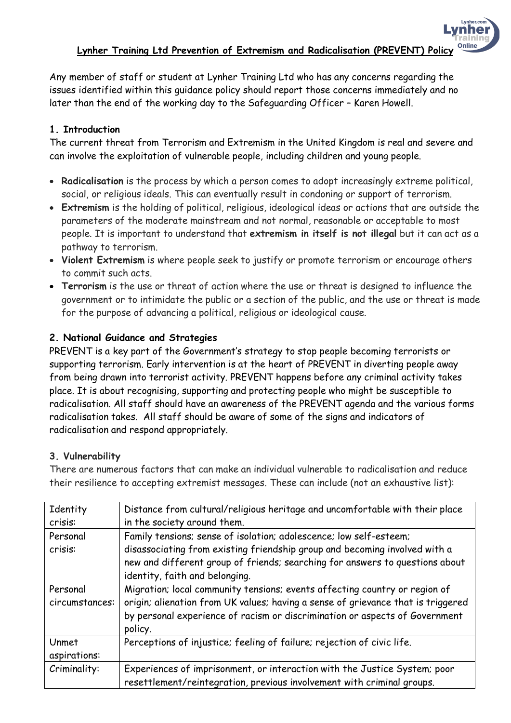Lynher.com mhei Online

Any member of staff or student at Lynher Training Ltd who has any concerns regarding the issues identified within this guidance policy should report those concerns immediately and no later than the end of the working day to the Safeguarding Officer – Karen Howell.

# **1. Introduction**

The current threat from Terrorism and Extremism in the United Kingdom is real and severe and can involve the exploitation of vulnerable people, including children and young people.

- **Radicalisation** is the process by which a person comes to adopt increasingly extreme political, social, or religious ideals. This can eventually result in condoning or support of terrorism.
- **Extremism** is the holding of political, religious, ideological ideas or actions that are outside the parameters of the moderate mainstream and not normal, reasonable or acceptable to most people. It is important to understand that **extremism in itself is not illegal** but it can act as a pathway to terrorism.
- **Violent Extremism** is where people seek to justify or promote terrorism or encourage others to commit such acts.
- **Terrorism** is the use or threat of action where the use or threat is designed to influence the government or to intimidate the public or a section of the public, and the use or threat is made for the purpose of advancing a political, religious or ideological cause.

## **2. National Guidance and Strategies**

PREVENT is a key part of the Government's strategy to stop people becoming terrorists or supporting terrorism. Early intervention is at the heart of PREVENT in diverting people away from being drawn into terrorist activity. PREVENT happens before any criminal activity takes place. It is about recognising, supporting and protecting people who might be susceptible to radicalisation. All staff should have an awareness of the PREVENT agenda and the various forms radicalisation takes. All staff should be aware of some of the signs and indicators of radicalisation and respond appropriately.

### **3. Vulnerability**

There are numerous factors that can make an individual vulnerable to radicalisation and reduce their resilience to accepting extremist messages. These can include (not an exhaustive list):

| Identity       | Distance from cultural/religious heritage and uncomfortable with their place     |  |  |
|----------------|----------------------------------------------------------------------------------|--|--|
| crisis:        | in the society around them.                                                      |  |  |
| Personal       | Family tensions; sense of isolation; adolescence; low self-esteem;               |  |  |
| crisis:        | disassociating from existing friendship group and becoming involved with a       |  |  |
|                | new and different group of friends; searching for answers to questions about     |  |  |
|                | identity, faith and belonging.                                                   |  |  |
| Personal       | Migration; local community tensions; events affecting country or region of       |  |  |
| circumstances: | origin; alienation from UK values; having a sense of grievance that is triggered |  |  |
|                | by personal experience of racism or discrimination or aspects of Government      |  |  |
|                | policy.                                                                          |  |  |
| Unmet          | Perceptions of injustice; feeling of failure; rejection of civic life.           |  |  |
| aspirations:   |                                                                                  |  |  |
| Criminality:   | Experiences of imprisonment, or interaction with the Justice System; poor        |  |  |
|                | resettlement/reintegration, previous involvement with criminal groups.           |  |  |